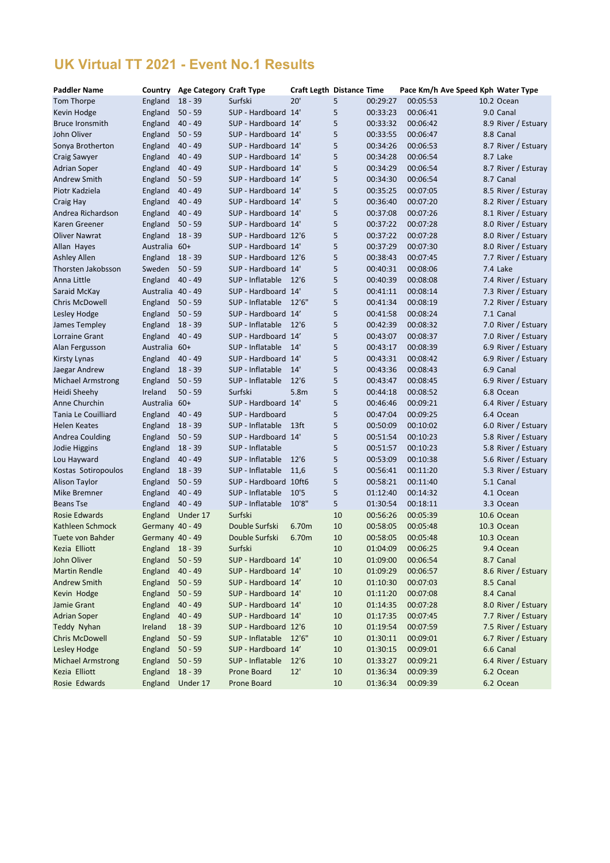# **UK Virtual TT 2021 - Event No.1 Results**

| <b>Paddler Name</b>      | Country           | <b>Age Category Craft Type</b> |                       | <b>Craft Legth Distance Time</b> |    |          |          | Pace Km/h Ave Speed Kph Water Type |
|--------------------------|-------------------|--------------------------------|-----------------------|----------------------------------|----|----------|----------|------------------------------------|
| Tom Thorpe               | England           | $18 - 39$                      | Surfski               | 20'                              | 5  | 00:29:27 | 00:05:53 | 10.2 Ocean                         |
| Kevin Hodge              | England           | $50 - 59$                      | SUP - Hardboard 14'   |                                  | 5  | 00:33:23 | 00:06:41 | 9.0 Canal                          |
| <b>Bruce Ironsmith</b>   | England           | $40 - 49$                      | SUP - Hardboard 14'   |                                  | 5  | 00:33:32 | 00:06:42 | 8.9 River / Estuary                |
| John Oliver              | England           | $50 - 59$                      | SUP - Hardboard 14'   |                                  | 5  | 00:33:55 | 00:06:47 | 8.8 Canal                          |
| Sonya Brotherton         | England           | $40 - 49$                      | SUP - Hardboard 14'   |                                  | 5  | 00:34:26 | 00:06:53 | 8.7 River / Estuary                |
| <b>Craig Sawyer</b>      | England           | $40 - 49$                      | SUP - Hardboard 14'   |                                  | 5  | 00:34:28 | 00:06:54 | 8.7 Lake                           |
| <b>Adrian Soper</b>      | England           | $40 - 49$                      | SUP - Hardboard 14'   |                                  | 5  | 00:34:29 | 00:06:54 | 8.7 River / Esturay                |
| Andrew Smith             | England           | $50 - 59$                      | SUP - Hardboard 14'   |                                  | 5  | 00:34:30 | 00:06:54 | 8.7 Canal                          |
| Piotr Kadziela           | England           | $40 - 49$                      | SUP - Hardboard 14'   |                                  | 5  | 00:35:25 | 00:07:05 | 8.5 River / Esturay                |
| Craig Hay                | England           | $40 - 49$                      | SUP - Hardboard 14'   |                                  | 5  | 00:36:40 | 00:07:20 | 8.2 River / Estuary                |
| Andrea Richardson        | England           | $40 - 49$                      | SUP - Hardboard 14'   |                                  | 5  | 00:37:08 | 00:07:26 | 8.1 River / Estuary                |
| Karen Greener            | England           | $50 - 59$                      | SUP - Hardboard 14'   |                                  | 5  | 00:37:22 | 00:07:28 | 8.0 River / Estuary                |
| <b>Oliver Nawrat</b>     | England           | $18 - 39$                      | SUP - Hardboard 12'6  |                                  | 5  | 00:37:22 | 00:07:28 | 8.0 River / Estuary                |
| Allan Hayes              | Australia 60+     |                                | SUP - Hardboard 14'   |                                  | 5  | 00:37:29 | 00:07:30 | 8.0 River / Estuary                |
| <b>Ashley Allen</b>      | England           | $18 - 39$                      | SUP - Hardboard 12'6  |                                  | 5  | 00:38:43 | 00:07:45 | 7.7 River / Estuary                |
| Thorsten Jakobsson       | Sweden            | $50 - 59$                      | SUP - Hardboard 14'   |                                  | 5  | 00:40:31 | 00:08:06 | 7.4 Lake                           |
| Anna Little              | England           | $40 - 49$                      | SUP - Inflatable      | 12'6                             | 5  | 00:40:39 | 00:08:08 | 7.4 River / Estuary                |
| Saraid McKay             | Australia         | $40 - 49$                      | SUP - Hardboard 14'   |                                  | 5  | 00:41:11 | 00:08:14 | 7.3 River / Estuary                |
| <b>Chris McDowell</b>    | England           | $50 - 59$                      | SUP - Inflatable      | 12'6''                           | 5  | 00:41:34 | 00:08:19 | 7.2 River / Estuary                |
| Lesley Hodge             | England           | $50 - 59$                      | SUP - Hardboard 14'   |                                  | 5  | 00:41:58 | 00:08:24 | 7.1 Canal                          |
| James Templey            | England           | $18 - 39$                      | SUP - Inflatable      | 12'6                             | 5  | 00:42:39 | 00:08:32 | 7.0 River / Estuary                |
| <b>Lorraine Grant</b>    | England           | $40 - 49$                      | SUP - Hardboard 14'   |                                  | 5  | 00:43:07 | 00:08:37 | 7.0 River / Estuary                |
| Alan Fergusson           | Australia         | $60+$                          | SUP - Inflatable      | 14'                              | 5  | 00:43:17 | 00:08:39 | 6.9 River / Estuary                |
| <b>Kirsty Lynas</b>      | England           | $40 - 49$                      | SUP - Hardboard 14'   |                                  | 5  | 00:43:31 | 00:08:42 | 6.9 River / Estuary                |
| Jaegar Andrew            | England           | $18 - 39$                      | SUP - Inflatable      | 14'                              | 5  | 00:43:36 | 00:08:43 | 6.9 Canal                          |
| <b>Michael Armstrong</b> | England           | $50 - 59$                      | SUP - Inflatable      | 12'6                             | 5  | 00:43:47 | 00:08:45 | 6.9 River / Estuary                |
| <b>Heidi Sheehy</b>      | Ireland           | $50 - 59$                      | Surfski               | 5.8m                             | 5  | 00:44:18 | 00:08:52 | 6.8 Ocean                          |
| Anne Churchin            | Australia 60+     |                                | SUP - Hardboard 14'   |                                  | 5  | 00:46:46 | 00:09:21 | 6.4 River / Estuary                |
| Tania Le Couilliard      | England           | $40 - 49$                      | SUP - Hardboard       |                                  | 5  | 00:47:04 | 00:09:25 | 6.4 Ocean                          |
| <b>Helen Keates</b>      | England           | $18 - 39$                      | SUP - Inflatable      | 13 <sub>ft</sub>                 | 5  | 00:50:09 | 00:10:02 | 6.0 River / Estuary                |
| <b>Andrea Coulding</b>   | England           | $50 - 59$                      | SUP - Hardboard 14'   |                                  | 5  | 00:51:54 | 00:10:23 | 5.8 River / Estuary                |
| Jodie Higgins            | England           | $18 - 39$                      | SUP - Inflatable      |                                  | 5  | 00:51:57 | 00:10:23 | 5.8 River / Estuary                |
| Lou Hayward              | England           | $40 - 49$                      | SUP - Inflatable      | 12'6                             | 5  | 00:53:09 | 00:10:38 | 5.6 River / Estuary                |
| Kostas Sotiropoulos      | England           | $18 - 39$                      | SUP - Inflatable      | 11,6                             | 5  | 00:56:41 | 00:11:20 | 5.3 River / Estuary                |
| <b>Alison Taylor</b>     | England           | $50 - 59$                      | SUP - Hardboard 10ft6 |                                  | 5  | 00:58:21 | 00:11:40 | 5.1 Canal                          |
| <b>Mike Bremner</b>      | England           | $40 - 49$                      | SUP - Inflatable      | 10'5                             | 5  | 01:12:40 | 00:14:32 | 4.1 Ocean                          |
| <b>Beans Tse</b>         | England           | $40 - 49$                      | SUP - Inflatable      | 10'8"                            | 5  | 01:30:54 | 00:18:11 | 3.3 Ocean                          |
| <b>Rosie Edwards</b>     | England           | Under 17                       | Surfski               |                                  | 10 | 00:56:26 | 00:05:39 | 10.6 Ocean                         |
| Kathleen Schmock         | Germany 40 - 49   |                                | Double Surfski        | 6.70m                            | 10 | 00:58:05 | 00:05:48 | 10.3 Ocean                         |
| Tuete von Bahder         | Germany 40 - 49   |                                | Double Surfski        | 6.70m                            | 10 | 00:58:05 | 00:05:48 | 10.3 Ocean                         |
| Kezia Elliott            | England $18 - 39$ |                                | Surfski               |                                  | 10 | 01:04:09 | 00:06:25 | 9.4 Ocean                          |
| John Oliver              | England           | $50 - 59$                      | SUP - Hardboard 14'   |                                  | 10 | 01:09:00 | 00:06:54 | 8.7 Canal                          |
| <b>Martin Rendle</b>     | England           | $40 - 49$                      | SUP - Hardboard 14'   |                                  | 10 | 01:09:29 | 00:06:57 | 8.6 River / Estuary                |
| <b>Andrew Smith</b>      | England           | $50 - 59$                      | SUP - Hardboard 14'   |                                  | 10 | 01:10:30 | 00:07:03 | 8.5 Canal                          |
| Kevin Hodge              | England           | $50 - 59$                      | SUP - Hardboard 14'   |                                  | 10 | 01:11:20 | 00:07:08 | 8.4 Canal                          |
| Jamie Grant              | England           | $40 - 49$                      | SUP - Hardboard 14'   |                                  | 10 | 01:14:35 | 00:07:28 | 8.0 River / Estuary                |
| <b>Adrian Soper</b>      | England           | $40 - 49$                      | SUP - Hardboard 14'   |                                  | 10 | 01:17:35 | 00:07:45 | 7.7 River / Estuary                |
| Teddy Nyhan              | Ireland           | $18 - 39$                      | SUP - Hardboard 12'6  |                                  | 10 | 01:19:54 | 00:07:59 | 7.5 River / Estuary                |
| <b>Chris McDowell</b>    | England           | $50 - 59$                      | SUP - Inflatable      | 12'6''                           | 10 | 01:30:11 | 00:09:01 | 6.7 River / Estuary                |
| Lesley Hodge             | England           | $50 - 59$                      | SUP - Hardboard 14'   |                                  | 10 | 01:30:15 | 00:09:01 | 6.6 Canal                          |
| <b>Michael Armstrong</b> | England           | $50 - 59$                      | SUP - Inflatable      | 12'6                             | 10 | 01:33:27 | 00:09:21 | 6.4 River / Estuary                |
| Kezia Elliott            | England           | $18 - 39$                      | Prone Board           | 12'                              | 10 | 01:36:34 | 00:09:39 | 6.2 Ocean                          |
| Rosie Edwards            | England           | Under 17                       | Prone Board           |                                  | 10 | 01:36:34 | 00:09:39 | 6.2 Ocean                          |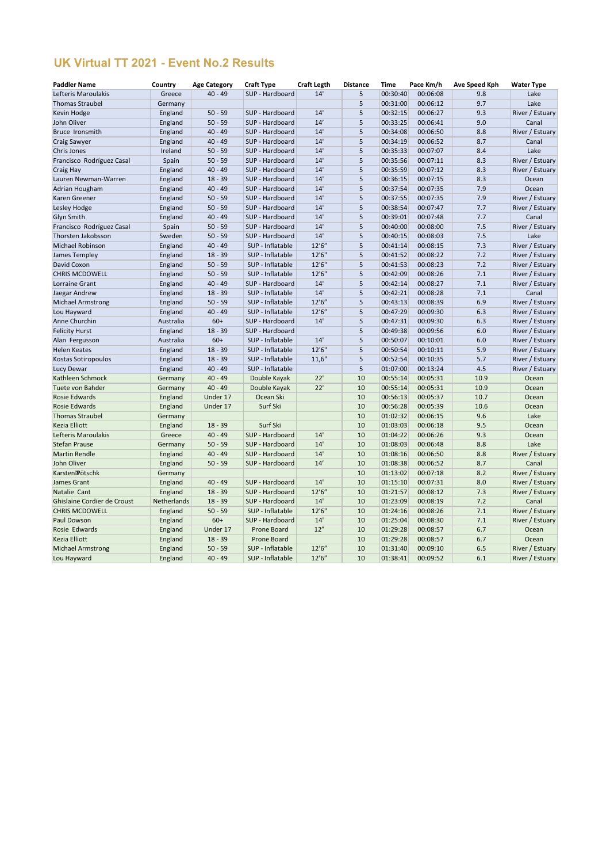# **UK Virtual TT 2021 - Event No.2 Results**

| 14'<br>00:06:08<br>$40 - 49$<br>SUP - Hardboard<br>9.8<br>Lake<br>Lefteris Maroulakis<br>Greece<br>5<br>00:30:40<br>Lake<br><b>Thomas Straubel</b><br>5<br>00:31:00<br>00:06:12<br>9.7<br>Germany<br>14'<br>England<br>SUP - Hardboard<br>00:06:27<br>Kevin Hodge<br>$50 - 59$<br>5<br>00:32:15<br>9.3<br>River / Estuary<br>14'<br>John Oliver<br>$50 - 59$<br>SUP - Hardboard<br>5<br>00:33:25<br>00:06:41<br>9.0<br>England<br>Canal<br>14'<br>England<br>$40 - 49$<br>5<br>00:34:08<br>00:06:50<br>8.8<br>River / Estuary<br>SUP - Hardboard<br>Bruce Ironsmith<br>$40 - 49$<br>14'<br>00:06:52<br>Craig Sawyer<br>England<br>SUP - Hardboard<br>5<br>00:34:19<br>8.7<br>Canal<br>14'<br>Lake<br>Chris Jones<br>Ireland<br>$50 - 59$<br>SUP - Hardboard<br>5<br>00:35:33<br>00:07:07<br>8.4<br>14'<br>SUP - Hardboard<br>00:07:11<br>8.3<br>Francisco Rodríguez Casal<br>Spain<br>$50 - 59$<br>5<br>00:35:56<br>River / Estuary<br>14'<br>$40 - 49$<br>SUP - Hardboard<br>5<br>00:35:59<br>00:07:12<br>8.3<br>River / Estuary<br>Craig Hay<br>England<br>$18 - 39$<br>14'<br>8.3<br>England<br>SUP - Hardboard<br>5<br>00:36:15<br>00:07:15<br>Lauren Newman-Warren<br>Ocean<br>$40 - 49$<br>SUP - Hardboard<br>14'<br>00:07:35<br>Adrian Hougham<br>England<br>5<br>00:37:54<br>7.9<br>Ocean<br>14'<br>5<br>7.9<br>River / Estuary<br>England<br>$50 - 59$<br>SUP - Hardboard<br>00:37:55<br>00:07:35<br>Karen Greener<br>14'<br>England<br>$50 - 59$<br>SUP - Hardboard<br>5<br>00:07:47<br>Lesley Hodge<br>00:38:54<br>7.7<br>River / Estuary<br>14'<br><b>Glyn Smith</b><br>$40 - 49$<br>SUP - Hardboard<br>5<br>00:39:01<br>00:07:48<br>7.7<br>England<br>Canal<br>$50 - 59$<br>14'<br>00:08:00<br>River / Estuary<br>Francisco Rodríguez Casal<br>Spain<br>SUP - Hardboard<br>5<br>00:40:00<br>7.5<br>SUP - Hardboard<br>14'<br>00:08:03<br>Lake<br>Thorsten Jakobsson<br>Sweden<br>$50 - 59$<br>5<br>00:40:15<br>7.5<br>$40 - 49$<br>12'6''<br>5<br>Michael Robinson<br>England<br>SUP - Inflatable<br>00:08:15<br>7.3<br>River / Estuary<br>00:41:14<br>$18 - 39$<br>SUP - Inflatable<br>12'6"<br>5<br>00:08:22<br>7.2<br>England<br>00:41:52<br>River / Estuary<br>James Templey<br>David Coxon<br>SUP - Inflatable<br>England<br>$50 - 59$<br>12'6"<br>5<br>00:08:23<br>7.2<br>River / Estuary<br>00:41:53<br>$50 - 59$<br>SUP - Inflatable<br>12'6"<br>5<br>00:08:26<br><b>CHRIS MCDOWELL</b><br>England<br>00:42:09<br>7.1<br>River / Estuary<br>$40 - 49$<br>SUP - Hardboard<br>14'<br>00:08:27<br>River / Estuary<br>Lorraine Grant<br>England<br>5<br>00:42:14<br>7.1<br>14'<br>England<br>$18 - 39$<br>SUP - Inflatable<br>5<br>00:08:28<br>7.1<br>Jaegar Andrew<br>00:42:21<br>Canal<br>12'6''<br>$50 - 59$<br>SUP - Inflatable<br>00:08:39<br>6.9<br><b>Michael Armstrong</b><br>England<br>5<br>00:43:13<br>River / Estuary<br>Lou Hayward<br>$40 - 49$<br>SUP - Inflatable<br>12'6''<br>5<br>00:09:30<br>6.3<br>England<br>00:47:29<br>River / Estuary<br>14'<br>$60+$<br>SUP - Hardboard<br>00:09:30<br>Anne Churchin<br>Australia<br>5<br>00:47:31<br>6.3<br>River / Estuary<br>SUP - Hardboard<br>00:09:56<br><b>Felicity Hurst</b><br>England<br>$18 - 39$<br>5<br>00:49:38<br>6.0<br>River / Estuary<br>14'<br>$60+$<br>SUP - Inflatable<br>5<br>00:10:01<br>6.0<br>Alan Fergusson<br>Australia<br>00:50:07<br>River / Estuary<br>12'6"<br>$18 - 39$<br>SUP - Inflatable<br>00:10:11<br>5.9<br><b>Helen Keates</b><br>England<br>5<br>00:50:54<br>River / Estuary<br>England<br>$18 - 39$<br>SUP - Inflatable<br>11,6"<br>5<br>00:52:54<br>00:10:35<br>5.7<br>Kostas Sotiropoulos<br>River / Estuary<br>England<br>$40 - 49$<br>SUP - Inflatable<br>5<br>4.5<br>Lucy Dewar<br>01:07:00<br>00:13:24<br>River / Estuary<br>Kathleen Schmock<br>Germany<br>$40 - 49$<br>Double Kayak<br>22'<br>10<br>00:55:14<br>00:05:31<br>10.9<br>Ocean<br>22'<br>Tuete von Bahder<br>$40 - 49$<br>Double Kayak<br>10<br>00:55:14<br>00:05:31<br>10.9<br>Ocean<br>Germany<br>00:05:37<br>10.7<br>Rosie Edwards<br>England<br>Under 17<br>Ocean Ski<br>10<br>00:56:13<br>Ocean<br>Surf Ski<br><b>Rosie Edwards</b><br>England<br>Under 17<br>10<br>00:56:28<br>00:05:39<br>10.6<br>Ocean<br>01:02:32<br>00:06:15<br>9.6<br>Lake<br><b>Thomas Straubel</b><br>Germany<br>10<br>Surf Ski<br>Kezia Elliott<br>$18 - 39$<br>01:03:03<br>00:06:18<br>9.5<br>England<br>10<br>Ocean<br>SUP - Hardboard<br>14'<br>Lefteris Maroulakis<br>Greece<br>$40 - 49$<br>01:04:22<br>00:06:26<br>9.3<br>10<br>Ocean<br>$50 - 59$<br>14'<br>00:06:48<br>Lake<br><b>Stefan Prause</b><br>Germany<br>SUP - Hardboard<br>10<br>01:08:03<br>8.8<br>14'<br>River / Estuary<br><b>Martin Rendle</b><br>England<br>$40 - 49$<br>SUP - Hardboard<br>10<br>01:08:16<br>00:06:50<br>8.8<br>John Oliver<br>England<br>SUP - Hardboard<br>14'<br>00:06:52<br>$50 - 59$<br>10<br>01:08:38<br>8.7<br>Canal<br>Karsten Pötschk<br>01:13:02<br>00:07:18<br>8.2<br>River / Estuary<br>Germany<br>10 | <b>Paddler Name</b> | Country | <b>Age Category</b> | <b>Craft Type</b> | <b>Craft Legth</b> | <b>Distance</b> | Time | Pace Km/h | <b>Ave Speed Kph</b> | <b>Water Type</b> |
|-------------------------------------------------------------------------------------------------------------------------------------------------------------------------------------------------------------------------------------------------------------------------------------------------------------------------------------------------------------------------------------------------------------------------------------------------------------------------------------------------------------------------------------------------------------------------------------------------------------------------------------------------------------------------------------------------------------------------------------------------------------------------------------------------------------------------------------------------------------------------------------------------------------------------------------------------------------------------------------------------------------------------------------------------------------------------------------------------------------------------------------------------------------------------------------------------------------------------------------------------------------------------------------------------------------------------------------------------------------------------------------------------------------------------------------------------------------------------------------------------------------------------------------------------------------------------------------------------------------------------------------------------------------------------------------------------------------------------------------------------------------------------------------------------------------------------------------------------------------------------------------------------------------------------------------------------------------------------------------------------------------------------------------------------------------------------------------------------------------------------------------------------------------------------------------------------------------------------------------------------------------------------------------------------------------------------------------------------------------------------------------------------------------------------------------------------------------------------------------------------------------------------------------------------------------------------------------------------------------------------------------------------------------------------------------------------------------------------------------------------------------------------------------------------------------------------------------------------------------------------------------------------------------------------------------------------------------------------------------------------------------------------------------------------------------------------------------------------------------------------------------------------------------------------------------------------------------------------------------------------------------------------------------------------------------------------------------------------------------------------------------------------------------------------------------------------------------------------------------------------------------------------------------------------------------------------------------------------------------------------------------------------------------------------------------------------------------------------------------------------------------------------------------------------------------------------------------------------------------------------------------------------------------------------------------------------------------------------------------------------------------------------------------------------------------------------------------------------------------------------------------------------------------------------------------------------------------------------------------------------------------------------------------------------------------------------------------------------------------------------------------------------------------------------------------------------------------------------------------------------------------------------------------------------------------------------------------------------------------------------------------------------------------------------------------------------------------------------------------------------------------------------------------------------------------------------------------------------------------------------------------------------------------------------------------------------------------------------------|---------------------|---------|---------------------|-------------------|--------------------|-----------------|------|-----------|----------------------|-------------------|
|                                                                                                                                                                                                                                                                                                                                                                                                                                                                                                                                                                                                                                                                                                                                                                                                                                                                                                                                                                                                                                                                                                                                                                                                                                                                                                                                                                                                                                                                                                                                                                                                                                                                                                                                                                                                                                                                                                                                                                                                                                                                                                                                                                                                                                                                                                                                                                                                                                                                                                                                                                                                                                                                                                                                                                                                                                                                                                                                                                                                                                                                                                                                                                                                                                                                                                                                                                                                                                                                                                                                                                                                                                                                                                                                                                                                                                                                                                                                                                                                                                                                                                                                                                                                                                                                                                                                                                                                                                                                                                                                                                                                                                                                                                                                                                                                                                                                                                                                                                               |                     |         |                     |                   |                    |                 |      |           |                      |                   |
|                                                                                                                                                                                                                                                                                                                                                                                                                                                                                                                                                                                                                                                                                                                                                                                                                                                                                                                                                                                                                                                                                                                                                                                                                                                                                                                                                                                                                                                                                                                                                                                                                                                                                                                                                                                                                                                                                                                                                                                                                                                                                                                                                                                                                                                                                                                                                                                                                                                                                                                                                                                                                                                                                                                                                                                                                                                                                                                                                                                                                                                                                                                                                                                                                                                                                                                                                                                                                                                                                                                                                                                                                                                                                                                                                                                                                                                                                                                                                                                                                                                                                                                                                                                                                                                                                                                                                                                                                                                                                                                                                                                                                                                                                                                                                                                                                                                                                                                                                                               |                     |         |                     |                   |                    |                 |      |           |                      |                   |
|                                                                                                                                                                                                                                                                                                                                                                                                                                                                                                                                                                                                                                                                                                                                                                                                                                                                                                                                                                                                                                                                                                                                                                                                                                                                                                                                                                                                                                                                                                                                                                                                                                                                                                                                                                                                                                                                                                                                                                                                                                                                                                                                                                                                                                                                                                                                                                                                                                                                                                                                                                                                                                                                                                                                                                                                                                                                                                                                                                                                                                                                                                                                                                                                                                                                                                                                                                                                                                                                                                                                                                                                                                                                                                                                                                                                                                                                                                                                                                                                                                                                                                                                                                                                                                                                                                                                                                                                                                                                                                                                                                                                                                                                                                                                                                                                                                                                                                                                                                               |                     |         |                     |                   |                    |                 |      |           |                      |                   |
|                                                                                                                                                                                                                                                                                                                                                                                                                                                                                                                                                                                                                                                                                                                                                                                                                                                                                                                                                                                                                                                                                                                                                                                                                                                                                                                                                                                                                                                                                                                                                                                                                                                                                                                                                                                                                                                                                                                                                                                                                                                                                                                                                                                                                                                                                                                                                                                                                                                                                                                                                                                                                                                                                                                                                                                                                                                                                                                                                                                                                                                                                                                                                                                                                                                                                                                                                                                                                                                                                                                                                                                                                                                                                                                                                                                                                                                                                                                                                                                                                                                                                                                                                                                                                                                                                                                                                                                                                                                                                                                                                                                                                                                                                                                                                                                                                                                                                                                                                                               |                     |         |                     |                   |                    |                 |      |           |                      |                   |
|                                                                                                                                                                                                                                                                                                                                                                                                                                                                                                                                                                                                                                                                                                                                                                                                                                                                                                                                                                                                                                                                                                                                                                                                                                                                                                                                                                                                                                                                                                                                                                                                                                                                                                                                                                                                                                                                                                                                                                                                                                                                                                                                                                                                                                                                                                                                                                                                                                                                                                                                                                                                                                                                                                                                                                                                                                                                                                                                                                                                                                                                                                                                                                                                                                                                                                                                                                                                                                                                                                                                                                                                                                                                                                                                                                                                                                                                                                                                                                                                                                                                                                                                                                                                                                                                                                                                                                                                                                                                                                                                                                                                                                                                                                                                                                                                                                                                                                                                                                               |                     |         |                     |                   |                    |                 |      |           |                      |                   |
|                                                                                                                                                                                                                                                                                                                                                                                                                                                                                                                                                                                                                                                                                                                                                                                                                                                                                                                                                                                                                                                                                                                                                                                                                                                                                                                                                                                                                                                                                                                                                                                                                                                                                                                                                                                                                                                                                                                                                                                                                                                                                                                                                                                                                                                                                                                                                                                                                                                                                                                                                                                                                                                                                                                                                                                                                                                                                                                                                                                                                                                                                                                                                                                                                                                                                                                                                                                                                                                                                                                                                                                                                                                                                                                                                                                                                                                                                                                                                                                                                                                                                                                                                                                                                                                                                                                                                                                                                                                                                                                                                                                                                                                                                                                                                                                                                                                                                                                                                                               |                     |         |                     |                   |                    |                 |      |           |                      |                   |
|                                                                                                                                                                                                                                                                                                                                                                                                                                                                                                                                                                                                                                                                                                                                                                                                                                                                                                                                                                                                                                                                                                                                                                                                                                                                                                                                                                                                                                                                                                                                                                                                                                                                                                                                                                                                                                                                                                                                                                                                                                                                                                                                                                                                                                                                                                                                                                                                                                                                                                                                                                                                                                                                                                                                                                                                                                                                                                                                                                                                                                                                                                                                                                                                                                                                                                                                                                                                                                                                                                                                                                                                                                                                                                                                                                                                                                                                                                                                                                                                                                                                                                                                                                                                                                                                                                                                                                                                                                                                                                                                                                                                                                                                                                                                                                                                                                                                                                                                                                               |                     |         |                     |                   |                    |                 |      |           |                      |                   |
|                                                                                                                                                                                                                                                                                                                                                                                                                                                                                                                                                                                                                                                                                                                                                                                                                                                                                                                                                                                                                                                                                                                                                                                                                                                                                                                                                                                                                                                                                                                                                                                                                                                                                                                                                                                                                                                                                                                                                                                                                                                                                                                                                                                                                                                                                                                                                                                                                                                                                                                                                                                                                                                                                                                                                                                                                                                                                                                                                                                                                                                                                                                                                                                                                                                                                                                                                                                                                                                                                                                                                                                                                                                                                                                                                                                                                                                                                                                                                                                                                                                                                                                                                                                                                                                                                                                                                                                                                                                                                                                                                                                                                                                                                                                                                                                                                                                                                                                                                                               |                     |         |                     |                   |                    |                 |      |           |                      |                   |
|                                                                                                                                                                                                                                                                                                                                                                                                                                                                                                                                                                                                                                                                                                                                                                                                                                                                                                                                                                                                                                                                                                                                                                                                                                                                                                                                                                                                                                                                                                                                                                                                                                                                                                                                                                                                                                                                                                                                                                                                                                                                                                                                                                                                                                                                                                                                                                                                                                                                                                                                                                                                                                                                                                                                                                                                                                                                                                                                                                                                                                                                                                                                                                                                                                                                                                                                                                                                                                                                                                                                                                                                                                                                                                                                                                                                                                                                                                                                                                                                                                                                                                                                                                                                                                                                                                                                                                                                                                                                                                                                                                                                                                                                                                                                                                                                                                                                                                                                                                               |                     |         |                     |                   |                    |                 |      |           |                      |                   |
|                                                                                                                                                                                                                                                                                                                                                                                                                                                                                                                                                                                                                                                                                                                                                                                                                                                                                                                                                                                                                                                                                                                                                                                                                                                                                                                                                                                                                                                                                                                                                                                                                                                                                                                                                                                                                                                                                                                                                                                                                                                                                                                                                                                                                                                                                                                                                                                                                                                                                                                                                                                                                                                                                                                                                                                                                                                                                                                                                                                                                                                                                                                                                                                                                                                                                                                                                                                                                                                                                                                                                                                                                                                                                                                                                                                                                                                                                                                                                                                                                                                                                                                                                                                                                                                                                                                                                                                                                                                                                                                                                                                                                                                                                                                                                                                                                                                                                                                                                                               |                     |         |                     |                   |                    |                 |      |           |                      |                   |
|                                                                                                                                                                                                                                                                                                                                                                                                                                                                                                                                                                                                                                                                                                                                                                                                                                                                                                                                                                                                                                                                                                                                                                                                                                                                                                                                                                                                                                                                                                                                                                                                                                                                                                                                                                                                                                                                                                                                                                                                                                                                                                                                                                                                                                                                                                                                                                                                                                                                                                                                                                                                                                                                                                                                                                                                                                                                                                                                                                                                                                                                                                                                                                                                                                                                                                                                                                                                                                                                                                                                                                                                                                                                                                                                                                                                                                                                                                                                                                                                                                                                                                                                                                                                                                                                                                                                                                                                                                                                                                                                                                                                                                                                                                                                                                                                                                                                                                                                                                               |                     |         |                     |                   |                    |                 |      |           |                      |                   |
|                                                                                                                                                                                                                                                                                                                                                                                                                                                                                                                                                                                                                                                                                                                                                                                                                                                                                                                                                                                                                                                                                                                                                                                                                                                                                                                                                                                                                                                                                                                                                                                                                                                                                                                                                                                                                                                                                                                                                                                                                                                                                                                                                                                                                                                                                                                                                                                                                                                                                                                                                                                                                                                                                                                                                                                                                                                                                                                                                                                                                                                                                                                                                                                                                                                                                                                                                                                                                                                                                                                                                                                                                                                                                                                                                                                                                                                                                                                                                                                                                                                                                                                                                                                                                                                                                                                                                                                                                                                                                                                                                                                                                                                                                                                                                                                                                                                                                                                                                                               |                     |         |                     |                   |                    |                 |      |           |                      |                   |
|                                                                                                                                                                                                                                                                                                                                                                                                                                                                                                                                                                                                                                                                                                                                                                                                                                                                                                                                                                                                                                                                                                                                                                                                                                                                                                                                                                                                                                                                                                                                                                                                                                                                                                                                                                                                                                                                                                                                                                                                                                                                                                                                                                                                                                                                                                                                                                                                                                                                                                                                                                                                                                                                                                                                                                                                                                                                                                                                                                                                                                                                                                                                                                                                                                                                                                                                                                                                                                                                                                                                                                                                                                                                                                                                                                                                                                                                                                                                                                                                                                                                                                                                                                                                                                                                                                                                                                                                                                                                                                                                                                                                                                                                                                                                                                                                                                                                                                                                                                               |                     |         |                     |                   |                    |                 |      |           |                      |                   |
|                                                                                                                                                                                                                                                                                                                                                                                                                                                                                                                                                                                                                                                                                                                                                                                                                                                                                                                                                                                                                                                                                                                                                                                                                                                                                                                                                                                                                                                                                                                                                                                                                                                                                                                                                                                                                                                                                                                                                                                                                                                                                                                                                                                                                                                                                                                                                                                                                                                                                                                                                                                                                                                                                                                                                                                                                                                                                                                                                                                                                                                                                                                                                                                                                                                                                                                                                                                                                                                                                                                                                                                                                                                                                                                                                                                                                                                                                                                                                                                                                                                                                                                                                                                                                                                                                                                                                                                                                                                                                                                                                                                                                                                                                                                                                                                                                                                                                                                                                                               |                     |         |                     |                   |                    |                 |      |           |                      |                   |
|                                                                                                                                                                                                                                                                                                                                                                                                                                                                                                                                                                                                                                                                                                                                                                                                                                                                                                                                                                                                                                                                                                                                                                                                                                                                                                                                                                                                                                                                                                                                                                                                                                                                                                                                                                                                                                                                                                                                                                                                                                                                                                                                                                                                                                                                                                                                                                                                                                                                                                                                                                                                                                                                                                                                                                                                                                                                                                                                                                                                                                                                                                                                                                                                                                                                                                                                                                                                                                                                                                                                                                                                                                                                                                                                                                                                                                                                                                                                                                                                                                                                                                                                                                                                                                                                                                                                                                                                                                                                                                                                                                                                                                                                                                                                                                                                                                                                                                                                                                               |                     |         |                     |                   |                    |                 |      |           |                      |                   |
|                                                                                                                                                                                                                                                                                                                                                                                                                                                                                                                                                                                                                                                                                                                                                                                                                                                                                                                                                                                                                                                                                                                                                                                                                                                                                                                                                                                                                                                                                                                                                                                                                                                                                                                                                                                                                                                                                                                                                                                                                                                                                                                                                                                                                                                                                                                                                                                                                                                                                                                                                                                                                                                                                                                                                                                                                                                                                                                                                                                                                                                                                                                                                                                                                                                                                                                                                                                                                                                                                                                                                                                                                                                                                                                                                                                                                                                                                                                                                                                                                                                                                                                                                                                                                                                                                                                                                                                                                                                                                                                                                                                                                                                                                                                                                                                                                                                                                                                                                                               |                     |         |                     |                   |                    |                 |      |           |                      |                   |
|                                                                                                                                                                                                                                                                                                                                                                                                                                                                                                                                                                                                                                                                                                                                                                                                                                                                                                                                                                                                                                                                                                                                                                                                                                                                                                                                                                                                                                                                                                                                                                                                                                                                                                                                                                                                                                                                                                                                                                                                                                                                                                                                                                                                                                                                                                                                                                                                                                                                                                                                                                                                                                                                                                                                                                                                                                                                                                                                                                                                                                                                                                                                                                                                                                                                                                                                                                                                                                                                                                                                                                                                                                                                                                                                                                                                                                                                                                                                                                                                                                                                                                                                                                                                                                                                                                                                                                                                                                                                                                                                                                                                                                                                                                                                                                                                                                                                                                                                                                               |                     |         |                     |                   |                    |                 |      |           |                      |                   |
|                                                                                                                                                                                                                                                                                                                                                                                                                                                                                                                                                                                                                                                                                                                                                                                                                                                                                                                                                                                                                                                                                                                                                                                                                                                                                                                                                                                                                                                                                                                                                                                                                                                                                                                                                                                                                                                                                                                                                                                                                                                                                                                                                                                                                                                                                                                                                                                                                                                                                                                                                                                                                                                                                                                                                                                                                                                                                                                                                                                                                                                                                                                                                                                                                                                                                                                                                                                                                                                                                                                                                                                                                                                                                                                                                                                                                                                                                                                                                                                                                                                                                                                                                                                                                                                                                                                                                                                                                                                                                                                                                                                                                                                                                                                                                                                                                                                                                                                                                                               |                     |         |                     |                   |                    |                 |      |           |                      |                   |
|                                                                                                                                                                                                                                                                                                                                                                                                                                                                                                                                                                                                                                                                                                                                                                                                                                                                                                                                                                                                                                                                                                                                                                                                                                                                                                                                                                                                                                                                                                                                                                                                                                                                                                                                                                                                                                                                                                                                                                                                                                                                                                                                                                                                                                                                                                                                                                                                                                                                                                                                                                                                                                                                                                                                                                                                                                                                                                                                                                                                                                                                                                                                                                                                                                                                                                                                                                                                                                                                                                                                                                                                                                                                                                                                                                                                                                                                                                                                                                                                                                                                                                                                                                                                                                                                                                                                                                                                                                                                                                                                                                                                                                                                                                                                                                                                                                                                                                                                                                               |                     |         |                     |                   |                    |                 |      |           |                      |                   |
|                                                                                                                                                                                                                                                                                                                                                                                                                                                                                                                                                                                                                                                                                                                                                                                                                                                                                                                                                                                                                                                                                                                                                                                                                                                                                                                                                                                                                                                                                                                                                                                                                                                                                                                                                                                                                                                                                                                                                                                                                                                                                                                                                                                                                                                                                                                                                                                                                                                                                                                                                                                                                                                                                                                                                                                                                                                                                                                                                                                                                                                                                                                                                                                                                                                                                                                                                                                                                                                                                                                                                                                                                                                                                                                                                                                                                                                                                                                                                                                                                                                                                                                                                                                                                                                                                                                                                                                                                                                                                                                                                                                                                                                                                                                                                                                                                                                                                                                                                                               |                     |         |                     |                   |                    |                 |      |           |                      |                   |
|                                                                                                                                                                                                                                                                                                                                                                                                                                                                                                                                                                                                                                                                                                                                                                                                                                                                                                                                                                                                                                                                                                                                                                                                                                                                                                                                                                                                                                                                                                                                                                                                                                                                                                                                                                                                                                                                                                                                                                                                                                                                                                                                                                                                                                                                                                                                                                                                                                                                                                                                                                                                                                                                                                                                                                                                                                                                                                                                                                                                                                                                                                                                                                                                                                                                                                                                                                                                                                                                                                                                                                                                                                                                                                                                                                                                                                                                                                                                                                                                                                                                                                                                                                                                                                                                                                                                                                                                                                                                                                                                                                                                                                                                                                                                                                                                                                                                                                                                                                               |                     |         |                     |                   |                    |                 |      |           |                      |                   |
|                                                                                                                                                                                                                                                                                                                                                                                                                                                                                                                                                                                                                                                                                                                                                                                                                                                                                                                                                                                                                                                                                                                                                                                                                                                                                                                                                                                                                                                                                                                                                                                                                                                                                                                                                                                                                                                                                                                                                                                                                                                                                                                                                                                                                                                                                                                                                                                                                                                                                                                                                                                                                                                                                                                                                                                                                                                                                                                                                                                                                                                                                                                                                                                                                                                                                                                                                                                                                                                                                                                                                                                                                                                                                                                                                                                                                                                                                                                                                                                                                                                                                                                                                                                                                                                                                                                                                                                                                                                                                                                                                                                                                                                                                                                                                                                                                                                                                                                                                                               |                     |         |                     |                   |                    |                 |      |           |                      |                   |
|                                                                                                                                                                                                                                                                                                                                                                                                                                                                                                                                                                                                                                                                                                                                                                                                                                                                                                                                                                                                                                                                                                                                                                                                                                                                                                                                                                                                                                                                                                                                                                                                                                                                                                                                                                                                                                                                                                                                                                                                                                                                                                                                                                                                                                                                                                                                                                                                                                                                                                                                                                                                                                                                                                                                                                                                                                                                                                                                                                                                                                                                                                                                                                                                                                                                                                                                                                                                                                                                                                                                                                                                                                                                                                                                                                                                                                                                                                                                                                                                                                                                                                                                                                                                                                                                                                                                                                                                                                                                                                                                                                                                                                                                                                                                                                                                                                                                                                                                                                               |                     |         |                     |                   |                    |                 |      |           |                      |                   |
|                                                                                                                                                                                                                                                                                                                                                                                                                                                                                                                                                                                                                                                                                                                                                                                                                                                                                                                                                                                                                                                                                                                                                                                                                                                                                                                                                                                                                                                                                                                                                                                                                                                                                                                                                                                                                                                                                                                                                                                                                                                                                                                                                                                                                                                                                                                                                                                                                                                                                                                                                                                                                                                                                                                                                                                                                                                                                                                                                                                                                                                                                                                                                                                                                                                                                                                                                                                                                                                                                                                                                                                                                                                                                                                                                                                                                                                                                                                                                                                                                                                                                                                                                                                                                                                                                                                                                                                                                                                                                                                                                                                                                                                                                                                                                                                                                                                                                                                                                                               |                     |         |                     |                   |                    |                 |      |           |                      |                   |
|                                                                                                                                                                                                                                                                                                                                                                                                                                                                                                                                                                                                                                                                                                                                                                                                                                                                                                                                                                                                                                                                                                                                                                                                                                                                                                                                                                                                                                                                                                                                                                                                                                                                                                                                                                                                                                                                                                                                                                                                                                                                                                                                                                                                                                                                                                                                                                                                                                                                                                                                                                                                                                                                                                                                                                                                                                                                                                                                                                                                                                                                                                                                                                                                                                                                                                                                                                                                                                                                                                                                                                                                                                                                                                                                                                                                                                                                                                                                                                                                                                                                                                                                                                                                                                                                                                                                                                                                                                                                                                                                                                                                                                                                                                                                                                                                                                                                                                                                                                               |                     |         |                     |                   |                    |                 |      |           |                      |                   |
|                                                                                                                                                                                                                                                                                                                                                                                                                                                                                                                                                                                                                                                                                                                                                                                                                                                                                                                                                                                                                                                                                                                                                                                                                                                                                                                                                                                                                                                                                                                                                                                                                                                                                                                                                                                                                                                                                                                                                                                                                                                                                                                                                                                                                                                                                                                                                                                                                                                                                                                                                                                                                                                                                                                                                                                                                                                                                                                                                                                                                                                                                                                                                                                                                                                                                                                                                                                                                                                                                                                                                                                                                                                                                                                                                                                                                                                                                                                                                                                                                                                                                                                                                                                                                                                                                                                                                                                                                                                                                                                                                                                                                                                                                                                                                                                                                                                                                                                                                                               |                     |         |                     |                   |                    |                 |      |           |                      |                   |
|                                                                                                                                                                                                                                                                                                                                                                                                                                                                                                                                                                                                                                                                                                                                                                                                                                                                                                                                                                                                                                                                                                                                                                                                                                                                                                                                                                                                                                                                                                                                                                                                                                                                                                                                                                                                                                                                                                                                                                                                                                                                                                                                                                                                                                                                                                                                                                                                                                                                                                                                                                                                                                                                                                                                                                                                                                                                                                                                                                                                                                                                                                                                                                                                                                                                                                                                                                                                                                                                                                                                                                                                                                                                                                                                                                                                                                                                                                                                                                                                                                                                                                                                                                                                                                                                                                                                                                                                                                                                                                                                                                                                                                                                                                                                                                                                                                                                                                                                                                               |                     |         |                     |                   |                    |                 |      |           |                      |                   |
|                                                                                                                                                                                                                                                                                                                                                                                                                                                                                                                                                                                                                                                                                                                                                                                                                                                                                                                                                                                                                                                                                                                                                                                                                                                                                                                                                                                                                                                                                                                                                                                                                                                                                                                                                                                                                                                                                                                                                                                                                                                                                                                                                                                                                                                                                                                                                                                                                                                                                                                                                                                                                                                                                                                                                                                                                                                                                                                                                                                                                                                                                                                                                                                                                                                                                                                                                                                                                                                                                                                                                                                                                                                                                                                                                                                                                                                                                                                                                                                                                                                                                                                                                                                                                                                                                                                                                                                                                                                                                                                                                                                                                                                                                                                                                                                                                                                                                                                                                                               |                     |         |                     |                   |                    |                 |      |           |                      |                   |
|                                                                                                                                                                                                                                                                                                                                                                                                                                                                                                                                                                                                                                                                                                                                                                                                                                                                                                                                                                                                                                                                                                                                                                                                                                                                                                                                                                                                                                                                                                                                                                                                                                                                                                                                                                                                                                                                                                                                                                                                                                                                                                                                                                                                                                                                                                                                                                                                                                                                                                                                                                                                                                                                                                                                                                                                                                                                                                                                                                                                                                                                                                                                                                                                                                                                                                                                                                                                                                                                                                                                                                                                                                                                                                                                                                                                                                                                                                                                                                                                                                                                                                                                                                                                                                                                                                                                                                                                                                                                                                                                                                                                                                                                                                                                                                                                                                                                                                                                                                               |                     |         |                     |                   |                    |                 |      |           |                      |                   |
|                                                                                                                                                                                                                                                                                                                                                                                                                                                                                                                                                                                                                                                                                                                                                                                                                                                                                                                                                                                                                                                                                                                                                                                                                                                                                                                                                                                                                                                                                                                                                                                                                                                                                                                                                                                                                                                                                                                                                                                                                                                                                                                                                                                                                                                                                                                                                                                                                                                                                                                                                                                                                                                                                                                                                                                                                                                                                                                                                                                                                                                                                                                                                                                                                                                                                                                                                                                                                                                                                                                                                                                                                                                                                                                                                                                                                                                                                                                                                                                                                                                                                                                                                                                                                                                                                                                                                                                                                                                                                                                                                                                                                                                                                                                                                                                                                                                                                                                                                                               |                     |         |                     |                   |                    |                 |      |           |                      |                   |
|                                                                                                                                                                                                                                                                                                                                                                                                                                                                                                                                                                                                                                                                                                                                                                                                                                                                                                                                                                                                                                                                                                                                                                                                                                                                                                                                                                                                                                                                                                                                                                                                                                                                                                                                                                                                                                                                                                                                                                                                                                                                                                                                                                                                                                                                                                                                                                                                                                                                                                                                                                                                                                                                                                                                                                                                                                                                                                                                                                                                                                                                                                                                                                                                                                                                                                                                                                                                                                                                                                                                                                                                                                                                                                                                                                                                                                                                                                                                                                                                                                                                                                                                                                                                                                                                                                                                                                                                                                                                                                                                                                                                                                                                                                                                                                                                                                                                                                                                                                               |                     |         |                     |                   |                    |                 |      |           |                      |                   |
|                                                                                                                                                                                                                                                                                                                                                                                                                                                                                                                                                                                                                                                                                                                                                                                                                                                                                                                                                                                                                                                                                                                                                                                                                                                                                                                                                                                                                                                                                                                                                                                                                                                                                                                                                                                                                                                                                                                                                                                                                                                                                                                                                                                                                                                                                                                                                                                                                                                                                                                                                                                                                                                                                                                                                                                                                                                                                                                                                                                                                                                                                                                                                                                                                                                                                                                                                                                                                                                                                                                                                                                                                                                                                                                                                                                                                                                                                                                                                                                                                                                                                                                                                                                                                                                                                                                                                                                                                                                                                                                                                                                                                                                                                                                                                                                                                                                                                                                                                                               |                     |         |                     |                   |                    |                 |      |           |                      |                   |
|                                                                                                                                                                                                                                                                                                                                                                                                                                                                                                                                                                                                                                                                                                                                                                                                                                                                                                                                                                                                                                                                                                                                                                                                                                                                                                                                                                                                                                                                                                                                                                                                                                                                                                                                                                                                                                                                                                                                                                                                                                                                                                                                                                                                                                                                                                                                                                                                                                                                                                                                                                                                                                                                                                                                                                                                                                                                                                                                                                                                                                                                                                                                                                                                                                                                                                                                                                                                                                                                                                                                                                                                                                                                                                                                                                                                                                                                                                                                                                                                                                                                                                                                                                                                                                                                                                                                                                                                                                                                                                                                                                                                                                                                                                                                                                                                                                                                                                                                                                               |                     |         |                     |                   |                    |                 |      |           |                      |                   |
|                                                                                                                                                                                                                                                                                                                                                                                                                                                                                                                                                                                                                                                                                                                                                                                                                                                                                                                                                                                                                                                                                                                                                                                                                                                                                                                                                                                                                                                                                                                                                                                                                                                                                                                                                                                                                                                                                                                                                                                                                                                                                                                                                                                                                                                                                                                                                                                                                                                                                                                                                                                                                                                                                                                                                                                                                                                                                                                                                                                                                                                                                                                                                                                                                                                                                                                                                                                                                                                                                                                                                                                                                                                                                                                                                                                                                                                                                                                                                                                                                                                                                                                                                                                                                                                                                                                                                                                                                                                                                                                                                                                                                                                                                                                                                                                                                                                                                                                                                                               |                     |         |                     |                   |                    |                 |      |           |                      |                   |
|                                                                                                                                                                                                                                                                                                                                                                                                                                                                                                                                                                                                                                                                                                                                                                                                                                                                                                                                                                                                                                                                                                                                                                                                                                                                                                                                                                                                                                                                                                                                                                                                                                                                                                                                                                                                                                                                                                                                                                                                                                                                                                                                                                                                                                                                                                                                                                                                                                                                                                                                                                                                                                                                                                                                                                                                                                                                                                                                                                                                                                                                                                                                                                                                                                                                                                                                                                                                                                                                                                                                                                                                                                                                                                                                                                                                                                                                                                                                                                                                                                                                                                                                                                                                                                                                                                                                                                                                                                                                                                                                                                                                                                                                                                                                                                                                                                                                                                                                                                               |                     |         |                     |                   |                    |                 |      |           |                      |                   |
|                                                                                                                                                                                                                                                                                                                                                                                                                                                                                                                                                                                                                                                                                                                                                                                                                                                                                                                                                                                                                                                                                                                                                                                                                                                                                                                                                                                                                                                                                                                                                                                                                                                                                                                                                                                                                                                                                                                                                                                                                                                                                                                                                                                                                                                                                                                                                                                                                                                                                                                                                                                                                                                                                                                                                                                                                                                                                                                                                                                                                                                                                                                                                                                                                                                                                                                                                                                                                                                                                                                                                                                                                                                                                                                                                                                                                                                                                                                                                                                                                                                                                                                                                                                                                                                                                                                                                                                                                                                                                                                                                                                                                                                                                                                                                                                                                                                                                                                                                                               |                     |         |                     |                   |                    |                 |      |           |                      |                   |
|                                                                                                                                                                                                                                                                                                                                                                                                                                                                                                                                                                                                                                                                                                                                                                                                                                                                                                                                                                                                                                                                                                                                                                                                                                                                                                                                                                                                                                                                                                                                                                                                                                                                                                                                                                                                                                                                                                                                                                                                                                                                                                                                                                                                                                                                                                                                                                                                                                                                                                                                                                                                                                                                                                                                                                                                                                                                                                                                                                                                                                                                                                                                                                                                                                                                                                                                                                                                                                                                                                                                                                                                                                                                                                                                                                                                                                                                                                                                                                                                                                                                                                                                                                                                                                                                                                                                                                                                                                                                                                                                                                                                                                                                                                                                                                                                                                                                                                                                                                               |                     |         |                     |                   |                    |                 |      |           |                      |                   |
|                                                                                                                                                                                                                                                                                                                                                                                                                                                                                                                                                                                                                                                                                                                                                                                                                                                                                                                                                                                                                                                                                                                                                                                                                                                                                                                                                                                                                                                                                                                                                                                                                                                                                                                                                                                                                                                                                                                                                                                                                                                                                                                                                                                                                                                                                                                                                                                                                                                                                                                                                                                                                                                                                                                                                                                                                                                                                                                                                                                                                                                                                                                                                                                                                                                                                                                                                                                                                                                                                                                                                                                                                                                                                                                                                                                                                                                                                                                                                                                                                                                                                                                                                                                                                                                                                                                                                                                                                                                                                                                                                                                                                                                                                                                                                                                                                                                                                                                                                                               |                     |         |                     |                   |                    |                 |      |           |                      |                   |
|                                                                                                                                                                                                                                                                                                                                                                                                                                                                                                                                                                                                                                                                                                                                                                                                                                                                                                                                                                                                                                                                                                                                                                                                                                                                                                                                                                                                                                                                                                                                                                                                                                                                                                                                                                                                                                                                                                                                                                                                                                                                                                                                                                                                                                                                                                                                                                                                                                                                                                                                                                                                                                                                                                                                                                                                                                                                                                                                                                                                                                                                                                                                                                                                                                                                                                                                                                                                                                                                                                                                                                                                                                                                                                                                                                                                                                                                                                                                                                                                                                                                                                                                                                                                                                                                                                                                                                                                                                                                                                                                                                                                                                                                                                                                                                                                                                                                                                                                                                               |                     |         |                     |                   |                    |                 |      |           |                      |                   |
|                                                                                                                                                                                                                                                                                                                                                                                                                                                                                                                                                                                                                                                                                                                                                                                                                                                                                                                                                                                                                                                                                                                                                                                                                                                                                                                                                                                                                                                                                                                                                                                                                                                                                                                                                                                                                                                                                                                                                                                                                                                                                                                                                                                                                                                                                                                                                                                                                                                                                                                                                                                                                                                                                                                                                                                                                                                                                                                                                                                                                                                                                                                                                                                                                                                                                                                                                                                                                                                                                                                                                                                                                                                                                                                                                                                                                                                                                                                                                                                                                                                                                                                                                                                                                                                                                                                                                                                                                                                                                                                                                                                                                                                                                                                                                                                                                                                                                                                                                                               |                     |         |                     |                   |                    |                 |      |           |                      |                   |
|                                                                                                                                                                                                                                                                                                                                                                                                                                                                                                                                                                                                                                                                                                                                                                                                                                                                                                                                                                                                                                                                                                                                                                                                                                                                                                                                                                                                                                                                                                                                                                                                                                                                                                                                                                                                                                                                                                                                                                                                                                                                                                                                                                                                                                                                                                                                                                                                                                                                                                                                                                                                                                                                                                                                                                                                                                                                                                                                                                                                                                                                                                                                                                                                                                                                                                                                                                                                                                                                                                                                                                                                                                                                                                                                                                                                                                                                                                                                                                                                                                                                                                                                                                                                                                                                                                                                                                                                                                                                                                                                                                                                                                                                                                                                                                                                                                                                                                                                                                               |                     |         |                     |                   |                    |                 |      |           |                      |                   |
| 14'<br>England<br>$40 - 49$<br>SUP - Hardboard<br>01:15:10<br>00:07:31<br>8.0<br>River / Estuary<br>James Grant<br>10                                                                                                                                                                                                                                                                                                                                                                                                                                                                                                                                                                                                                                                                                                                                                                                                                                                                                                                                                                                                                                                                                                                                                                                                                                                                                                                                                                                                                                                                                                                                                                                                                                                                                                                                                                                                                                                                                                                                                                                                                                                                                                                                                                                                                                                                                                                                                                                                                                                                                                                                                                                                                                                                                                                                                                                                                                                                                                                                                                                                                                                                                                                                                                                                                                                                                                                                                                                                                                                                                                                                                                                                                                                                                                                                                                                                                                                                                                                                                                                                                                                                                                                                                                                                                                                                                                                                                                                                                                                                                                                                                                                                                                                                                                                                                                                                                                                         |                     |         |                     |                   |                    |                 |      |           |                      |                   |
| Natalie Cant<br>England<br>$18 - 39$<br>SUP - Hardboard<br>12'6''<br>01:21:57<br>00:08:12<br>River / Estuary<br>10<br>7.3                                                                                                                                                                                                                                                                                                                                                                                                                                                                                                                                                                                                                                                                                                                                                                                                                                                                                                                                                                                                                                                                                                                                                                                                                                                                                                                                                                                                                                                                                                                                                                                                                                                                                                                                                                                                                                                                                                                                                                                                                                                                                                                                                                                                                                                                                                                                                                                                                                                                                                                                                                                                                                                                                                                                                                                                                                                                                                                                                                                                                                                                                                                                                                                                                                                                                                                                                                                                                                                                                                                                                                                                                                                                                                                                                                                                                                                                                                                                                                                                                                                                                                                                                                                                                                                                                                                                                                                                                                                                                                                                                                                                                                                                                                                                                                                                                                                     |                     |         |                     |                   |                    |                 |      |           |                      |                   |
| 14'<br>Ghislaine Cordier de Croust<br>Netherlands<br>$18 - 39$<br>SUP - Hardboard<br>10<br>01:23:09<br>00:08:19<br>7.2<br>Canal                                                                                                                                                                                                                                                                                                                                                                                                                                                                                                                                                                                                                                                                                                                                                                                                                                                                                                                                                                                                                                                                                                                                                                                                                                                                                                                                                                                                                                                                                                                                                                                                                                                                                                                                                                                                                                                                                                                                                                                                                                                                                                                                                                                                                                                                                                                                                                                                                                                                                                                                                                                                                                                                                                                                                                                                                                                                                                                                                                                                                                                                                                                                                                                                                                                                                                                                                                                                                                                                                                                                                                                                                                                                                                                                                                                                                                                                                                                                                                                                                                                                                                                                                                                                                                                                                                                                                                                                                                                                                                                                                                                                                                                                                                                                                                                                                                               |                     |         |                     |                   |                    |                 |      |           |                      |                   |
| 12'6"<br><b>CHRIS MCDOWELL</b><br>England<br>SUP - Inflatable<br>01:24:16<br>00:08:26<br>River / Estuary<br>$50 - 59$<br>10<br>7.1                                                                                                                                                                                                                                                                                                                                                                                                                                                                                                                                                                                                                                                                                                                                                                                                                                                                                                                                                                                                                                                                                                                                                                                                                                                                                                                                                                                                                                                                                                                                                                                                                                                                                                                                                                                                                                                                                                                                                                                                                                                                                                                                                                                                                                                                                                                                                                                                                                                                                                                                                                                                                                                                                                                                                                                                                                                                                                                                                                                                                                                                                                                                                                                                                                                                                                                                                                                                                                                                                                                                                                                                                                                                                                                                                                                                                                                                                                                                                                                                                                                                                                                                                                                                                                                                                                                                                                                                                                                                                                                                                                                                                                                                                                                                                                                                                                            |                     |         |                     |                   |                    |                 |      |           |                      |                   |
| Paul Dowson<br>$60+$<br>SUP - Hardboard<br>14'<br>01:25:04<br>00:08:30<br>River / Estuary<br>England<br>10<br>7.1                                                                                                                                                                                                                                                                                                                                                                                                                                                                                                                                                                                                                                                                                                                                                                                                                                                                                                                                                                                                                                                                                                                                                                                                                                                                                                                                                                                                                                                                                                                                                                                                                                                                                                                                                                                                                                                                                                                                                                                                                                                                                                                                                                                                                                                                                                                                                                                                                                                                                                                                                                                                                                                                                                                                                                                                                                                                                                                                                                                                                                                                                                                                                                                                                                                                                                                                                                                                                                                                                                                                                                                                                                                                                                                                                                                                                                                                                                                                                                                                                                                                                                                                                                                                                                                                                                                                                                                                                                                                                                                                                                                                                                                                                                                                                                                                                                                             |                     |         |                     |                   |                    |                 |      |           |                      |                   |
| 12"<br>England<br>Prone Board<br>01:29:28<br>00:08:57<br>Rosie Edwards<br>Under 17<br>10<br>6.7<br>Ocean                                                                                                                                                                                                                                                                                                                                                                                                                                                                                                                                                                                                                                                                                                                                                                                                                                                                                                                                                                                                                                                                                                                                                                                                                                                                                                                                                                                                                                                                                                                                                                                                                                                                                                                                                                                                                                                                                                                                                                                                                                                                                                                                                                                                                                                                                                                                                                                                                                                                                                                                                                                                                                                                                                                                                                                                                                                                                                                                                                                                                                                                                                                                                                                                                                                                                                                                                                                                                                                                                                                                                                                                                                                                                                                                                                                                                                                                                                                                                                                                                                                                                                                                                                                                                                                                                                                                                                                                                                                                                                                                                                                                                                                                                                                                                                                                                                                                      |                     |         |                     |                   |                    |                 |      |           |                      |                   |
| Kezia Elliott<br>Prone Board<br>00:08:57<br>Ocean<br>England<br>$18 - 39$<br>10<br>01:29:28<br>6.7                                                                                                                                                                                                                                                                                                                                                                                                                                                                                                                                                                                                                                                                                                                                                                                                                                                                                                                                                                                                                                                                                                                                                                                                                                                                                                                                                                                                                                                                                                                                                                                                                                                                                                                                                                                                                                                                                                                                                                                                                                                                                                                                                                                                                                                                                                                                                                                                                                                                                                                                                                                                                                                                                                                                                                                                                                                                                                                                                                                                                                                                                                                                                                                                                                                                                                                                                                                                                                                                                                                                                                                                                                                                                                                                                                                                                                                                                                                                                                                                                                                                                                                                                                                                                                                                                                                                                                                                                                                                                                                                                                                                                                                                                                                                                                                                                                                                            |                     |         |                     |                   |                    |                 |      |           |                      |                   |
| 12'6''<br>River / Estuary<br><b>Michael Armstrong</b><br>England<br>$50 - 59$<br>SUP - Inflatable<br>01:31:40<br>00:09:10<br>6.5<br>10                                                                                                                                                                                                                                                                                                                                                                                                                                                                                                                                                                                                                                                                                                                                                                                                                                                                                                                                                                                                                                                                                                                                                                                                                                                                                                                                                                                                                                                                                                                                                                                                                                                                                                                                                                                                                                                                                                                                                                                                                                                                                                                                                                                                                                                                                                                                                                                                                                                                                                                                                                                                                                                                                                                                                                                                                                                                                                                                                                                                                                                                                                                                                                                                                                                                                                                                                                                                                                                                                                                                                                                                                                                                                                                                                                                                                                                                                                                                                                                                                                                                                                                                                                                                                                                                                                                                                                                                                                                                                                                                                                                                                                                                                                                                                                                                                                        |                     |         |                     |                   |                    |                 |      |           |                      |                   |
| SUP - Inflatable<br>12'6''<br>01:38:41<br>00:09:52<br>6.1<br>River / Estuary<br>Lou Hayward<br>England<br>$40 - 49$<br>10                                                                                                                                                                                                                                                                                                                                                                                                                                                                                                                                                                                                                                                                                                                                                                                                                                                                                                                                                                                                                                                                                                                                                                                                                                                                                                                                                                                                                                                                                                                                                                                                                                                                                                                                                                                                                                                                                                                                                                                                                                                                                                                                                                                                                                                                                                                                                                                                                                                                                                                                                                                                                                                                                                                                                                                                                                                                                                                                                                                                                                                                                                                                                                                                                                                                                                                                                                                                                                                                                                                                                                                                                                                                                                                                                                                                                                                                                                                                                                                                                                                                                                                                                                                                                                                                                                                                                                                                                                                                                                                                                                                                                                                                                                                                                                                                                                                     |                     |         |                     |                   |                    |                 |      |           |                      |                   |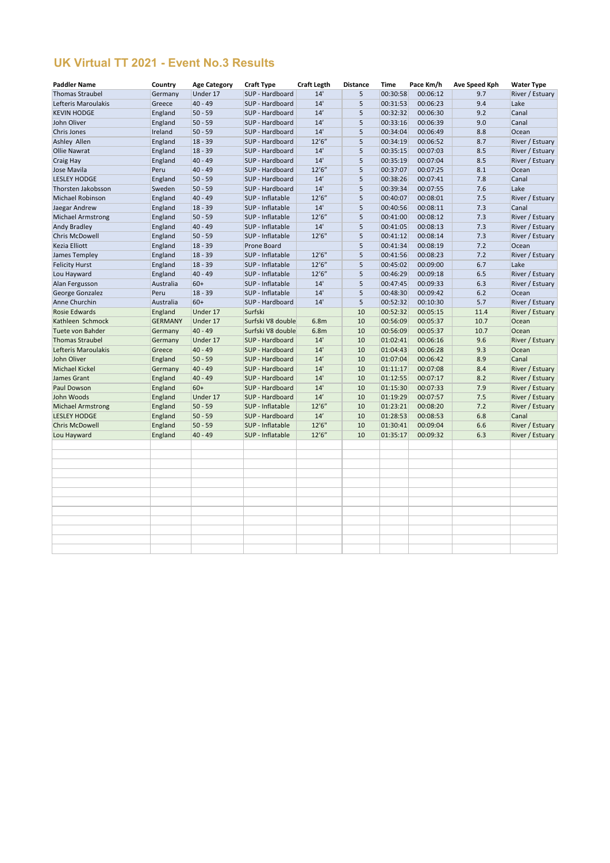## **UK Virtual TT 2021 - Event No.3 Results**

| <b>Paddler Name</b>      | Country        | <b>Age Category</b> | <b>Craft Type</b> | <b>Craft Legth</b> | <b>Distance</b> | <b>Time</b> | Pace Km/h | Ave Speed Kph | <b>Water Type</b> |
|--------------------------|----------------|---------------------|-------------------|--------------------|-----------------|-------------|-----------|---------------|-------------------|
| <b>Thomas Straubel</b>   | Germany        | Under 17            | SUP - Hardboard   | 14'                | 5               | 00:30:58    | 00:06:12  | 9.7           | River / Estuary   |
| Lefteris Maroulakis      | Greece         | 40 - 49             | SUP - Hardboard   | 14'                | 5               | 00:31:53    | 00:06:23  | 9.4           | Lake              |
| <b>KEVIN HODGE</b>       | England        | $50 - 59$           | SUP - Hardboard   | 14'                | 5               | 00:32:32    | 00:06:30  | 9.2           | Canal             |
| John Oliver              | England        | $50 - 59$           | SUP - Hardboard   | 14'                | 5               | 00:33:16    | 00:06:39  | 9.0           | Canal             |
| Chris Jones              | Ireland        | $50 - 59$           | SUP - Hardboard   | 14'                | 5               | 00:34:04    | 00:06:49  | 8.8           | Ocean             |
| Ashley Allen             | England        | $18 - 39$           | SUP - Hardboard   | 12'6''             | 5               | 00:34:19    | 00:06:52  | 8.7           | River / Estuary   |
| <b>Ollie Nawrat</b>      | England        | $18 - 39$           | SUP - Hardboard   | 14'                | 5               | 00:35:15    | 00:07:03  | 8.5           | River / Estuary   |
| Craig Hay                | England        | $40 - 49$           | SUP - Hardboard   | 14'                | 5               | 00:35:19    | 00:07:04  | 8.5           | River / Estuary   |
| Jose Mavila              | Peru           | $40 - 49$           | SUP - Hardboard   | 12'6''             | 5               | 00:37:07    | 00:07:25  | 8.1           | Ocean             |
| <b>LESLEY HODGE</b>      | England        | $50 - 59$           | SUP - Hardboard   | 14'                | 5               | 00:38:26    | 00:07:41  | 7.8           | Canal             |
| Thorsten Jakobsson       | Sweden         | $50 - 59$           | SUP - Hardboard   | 14'                | 5               | 00:39:34    | 00:07:55  | 7.6           | Lake              |
| Michael Robinson         | England        | 40 - 49             | SUP - Inflatable  | 12'6''             | 5               | 00:40:07    | 00:08:01  | 7.5           | River / Estuary   |
| Jaegar Andrew            | England        | $18 - 39$           | SUP - Inflatable  | 14'                | 5               | 00:40:56    | 00:08:11  | 7.3           | Canal             |
| <b>Michael Armstrong</b> | England        | $50 - 59$           | SUP - Inflatable  | 12'6''             | 5               | 00:41:00    | 00:08:12  | 7.3           | River / Estuary   |
| <b>Andy Bradley</b>      | England        | 40 - 49             | SUP - Inflatable  | 14'                | 5               | 00:41:05    | 00:08:13  | 7.3           | River / Estuary   |
| <b>Chris McDowell</b>    | England        | $50 - 59$           | SUP - Inflatable  | 12'6"              | 5               | 00:41:12    | 00:08:14  | 7.3           | River / Estuary   |
| Kezia Elliott            | England        | $18 - 39$           | Prone Board       |                    | 5               | 00:41:34    | 00:08:19  | 7.2           | Ocean             |
| James Templey            | England        | $18 - 39$           | SUP - Inflatable  | 12'6"              | 5               | 00:41:56    | 00:08:23  | 7.2           | River / Estuary   |
| <b>Felicity Hurst</b>    | England        | $18 - 39$           | SUP - Inflatable  | 12'6''             | 5               | 00:45:02    | 00:09:00  | 6.7           | Lake              |
| Lou Hayward              | England        | 40 - 49             | SUP - Inflatable  | 12'6''             | 5               | 00:46:29    | 00:09:18  | 6.5           | River / Estuary   |
| Alan Fergusson           | Australia      | 60+                 | SUP - Inflatable  | 14'                | 5               | 00:47:45    | 00:09:33  | 6.3           | River / Estuary   |
| George Gonzalez          | Peru           | $18 - 39$           | SUP - Inflatable  | 14'                | 5               | 00:48:30    | 00:09:42  | 6.2           | Ocean             |
| Anne Churchin            | Australia      | 60+                 | SUP - Hardboard   | 14'                | 5               | 00:52:32    | 00:10:30  | 5.7           | River / Estuary   |
| <b>Rosie Edwards</b>     | England        | Under 17            | Surfski           |                    | 10              | 00:52:32    | 00:05:15  | 11.4          | River / Estuary   |
| Kathleen Schmock         | <b>GERMANY</b> | Under 17            | Surfski V8 double | 6.8m               | 10              | 00:56:09    | 00:05:37  | 10.7          | Ocean             |
| Tuete von Bahder         | Germany        | 40 - 49             | Surfski V8 double | 6.8m               | 10              | 00:56:09    | 00:05:37  | 10.7          | Ocean             |
| <b>Thomas Straubel</b>   | Germany        | Under 17            | SUP - Hardboard   | 14'                | 10              | 01:02:41    | 00:06:16  | 9.6           | River / Estuary   |
| Lefteris Maroulakis      | Greece         | $ 40 - 49$          | SUP - Hardboard   | 14'                | 10              | 01:04:43    | 00:06:28  | 9.3           | Ocean             |
| John Oliver              | England        | $50 - 59$           | SUP - Hardboard   | 14'                | 10              | 01:07:04    | 00:06:42  | 8.9           | Canal             |
| <b>Michael Kickel</b>    | Germany        | 40 - 49             | SUP - Hardboard   | 14'                | 10              | 01:11:17    | 00:07:08  | 8.4           | River / Estuary   |
| James Grant              | England        | 40 - 49             | SUP - Hardboard   | 14'                | 10              | 01:12:55    | 00:07:17  | 8.2           | River / Estuary   |
| Paul Dowson              | England        | $60+$               | SUP - Hardboard   | 14'                | 10              | 01:15:30    | 00:07:33  | 7.9           | River / Estuary   |
| John Woods               | England        | Under 17            | SUP - Hardboard   | 14'                | 10              | 01:19:29    | 00:07:57  | 7.5           | River / Estuary   |
| <b>Michael Armstrong</b> | England        | $50 - 59$           | SUP - Inflatable  | 12'6''             | 10              | 01:23:21    | 00:08:20  | 7.2           | River / Estuary   |
| <b>LESLEY HODGE</b>      | England        | $50 - 59$           | SUP - Hardboard   | 14'                | 10              | 01:28:53    | 00:08:53  | 6.8           | Canal             |
| <b>Chris McDowell</b>    | England        | $50 - 59$           | SUP - Inflatable  | 12'6"              | 10              | 01:30:41    | 00:09:04  | 6.6           | River / Estuary   |
| Lou Hayward              | England        | $40 - 49$           | SUP - Inflatable  | 12'6''             | 10              | 01:35:17    | 00:09:32  | 6.3           | River / Estuary   |
|                          |                |                     |                   |                    |                 |             |           |               |                   |
|                          |                |                     |                   |                    |                 |             |           |               |                   |
|                          |                |                     |                   |                    |                 |             |           |               |                   |
|                          |                |                     |                   |                    |                 |             |           |               |                   |
|                          |                |                     |                   |                    |                 |             |           |               |                   |
|                          |                |                     |                   |                    |                 |             |           |               |                   |
|                          |                |                     |                   |                    |                 |             |           |               |                   |
|                          |                |                     |                   |                    |                 |             |           |               |                   |
|                          |                |                     |                   |                    |                 |             |           |               |                   |
|                          |                |                     |                   |                    |                 |             |           |               |                   |
|                          |                |                     |                   |                    |                 |             |           |               |                   |
|                          |                |                     |                   |                    |                 |             |           |               |                   |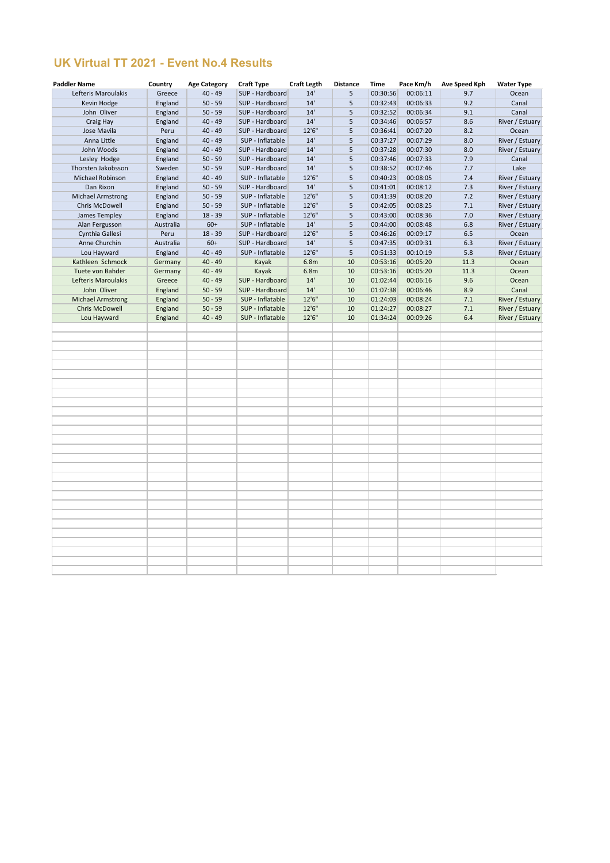## **UK Virtual TT 2021 - Event No.4 Results**

| <b>Paddler Name</b>      | Country   | <b>Age Category</b> | <b>Craft Type</b> | <b>Craft Legth</b> | <b>Distance</b> | <b>Time</b> | Pace Km/h | <b>Ave Speed Kph</b> | <b>Water Type</b> |
|--------------------------|-----------|---------------------|-------------------|--------------------|-----------------|-------------|-----------|----------------------|-------------------|
| Lefteris Maroulakis      | Greece    | $40 - 49$           | SUP - Hardboard   | 14'                | 5               | 00:30:56    | 00:06:11  | 9.7                  | Ocean             |
| Kevin Hodge              | England   | $50 - 59$           | SUP - Hardboard   | 14'                | 5               | 00:32:43    | 00:06:33  | 9.2                  | Canal             |
| John Oliver              | England   | $50 - 59$           | SUP - Hardboard   | 14'                | 5               | 00:32:52    | 00:06:34  | 9.1                  | Canal             |
| Craig Hay                | England   | $40 - 49$           | SUP - Hardboard   | 14'                | 5               | 00:34:46    | 00:06:57  | 8.6                  | River / Estuary   |
| Jose Mavila              | Peru      | $40 - 49$           | SUP - Hardboard   | 12'6"              | 5               | 00:36:41    | 00:07:20  | 8.2                  | Ocean             |
| Anna Little              | England   | $40 - 49$           | SUP - Inflatable  | 14'                | 5               | 00:37:27    | 00:07:29  | 8.0                  | River / Estuary   |
| John Woods               | England   | $40 - 49$           | SUP - Hardboard   | 14'                | 5               | 00:37:28    | 00:07:30  | 8.0                  | River / Estuary   |
| Lesley Hodge             | England   | $50 - 59$           | SUP - Hardboard   | 14'                | 5               | 00:37:46    | 00:07:33  | 7.9                  | Canal             |
| Thorsten Jakobsson       | Sweden    | $50 - 59$           | SUP - Hardboard   | 14'                | 5               | 00:38:52    | 00:07:46  | 7.7                  | Lake              |
| Michael Robinson         | England   | $40 - 49$           | SUP - Inflatable  | 12'6''             | 5               | 00:40:23    | 00:08:05  | 7.4                  | River / Estuary   |
| Dan Rixon                | England   | $50 - 59$           | SUP - Hardboard   | 14'                | 5               | 00:41:01    | 00:08:12  | 7.3                  | River / Estuary   |
| <b>Michael Armstrong</b> | England   | $50 - 59$           | SUP - Inflatable  | 12'6"              | 5               | 00:41:39    | 00:08:20  | 7.2                  | River / Estuary   |
| Chris McDowell           | England   | $50 - 59$           | SUP - Inflatable  | 12'6"              | 5               | 00:42:05    | 00:08:25  | 7.1                  | River / Estuary   |
| James Templey            | England   | $18 - 39$           | SUP - Inflatable  | 12'6"              | 5               | 00:43:00    | 00:08:36  | 7.0                  | River / Estuary   |
| Alan Fergusson           | Australia | $60+$               | SUP - Inflatable  | 14'                | 5               | 00:44:00    | 00:08:48  | 6.8                  | River / Estuary   |
| Cynthia Gallesi          | Peru      | $18 - 39$           | SUP - Hardboard   | 12'6"              | 5               | 00:46:26    | 00:09:17  | 6.5                  | Ocean             |
| Anne Churchin            | Australia | $60+$               | SUP - Hardboard   | 14'                | 5               | 00:47:35    | 00:09:31  | 6.3                  | River / Estuary   |
| Lou Hayward              | England   | $40 - 49$           | SUP - Inflatable  | 12'6"              | 5               | 00:51:33    | 00:10:19  | 5.8                  | River / Estuary   |
| Kathleen Schmock         | Germany   | $40 - 49$           | Kayak             | 6.8m               | 10              | 00:53:16    | 00:05:20  | 11.3                 | Ocean             |
| Tuete von Bahder         | Germany   | $40 - 49$           | Kayak             | 6.8m               | 10              | 00:53:16    | 00:05:20  | 11.3                 | Ocean             |
| Lefteris Maroulakis      | Greece    | $40 - 49$           | SUP - Hardboard   | 14'                | 10              | 01:02:44    | 00:06:16  | 9.6                  | Ocean             |
| John Oliver              | England   | $50 - 59$           | SUP - Hardboard   | 14'                | 10              | 01:07:38    | 00:06:46  | 8.9                  | Canal             |
| <b>Michael Armstrong</b> | England   | $50 - 59$           | SUP - Inflatable  | 12'6"              | 10              | 01:24:03    | 00:08:24  | 7.1                  | River / Estuary   |
| <b>Chris McDowell</b>    | England   | $50 - 59$           | SUP - Inflatable  | 12'6"              | 10              | 01:24:27    | 00:08:27  | 7.1                  | River / Estuary   |
| Lou Hayward              | England   | $40 - 49$           | SUP - Inflatable  | 12'6"              | 10              | 01:34:24    | 00:09:26  | 6.4                  | River / Estuary   |
|                          |           |                     |                   |                    |                 |             |           |                      |                   |
|                          |           |                     |                   |                    |                 |             |           |                      |                   |
|                          |           |                     |                   |                    |                 |             |           |                      |                   |
|                          |           |                     |                   |                    |                 |             |           |                      |                   |
|                          |           |                     |                   |                    |                 |             |           |                      |                   |
|                          |           |                     |                   |                    |                 |             |           |                      |                   |
|                          |           |                     |                   |                    |                 |             |           |                      |                   |
|                          |           |                     |                   |                    |                 |             |           |                      |                   |
|                          |           |                     |                   |                    |                 |             |           |                      |                   |
|                          |           |                     |                   |                    |                 |             |           |                      |                   |
|                          |           |                     |                   |                    |                 |             |           |                      |                   |
|                          |           |                     |                   |                    |                 |             |           |                      |                   |
|                          |           |                     |                   |                    |                 |             |           |                      |                   |
|                          |           |                     |                   |                    |                 |             |           |                      |                   |
|                          |           |                     |                   |                    |                 |             |           |                      |                   |
|                          |           |                     |                   |                    |                 |             |           |                      |                   |
|                          |           |                     |                   |                    |                 |             |           |                      |                   |
|                          |           |                     |                   |                    |                 |             |           |                      |                   |
|                          |           |                     |                   |                    |                 |             |           |                      |                   |
|                          |           |                     |                   |                    |                 |             |           |                      |                   |
|                          |           |                     |                   |                    |                 |             |           |                      |                   |
|                          |           |                     |                   |                    |                 |             |           |                      |                   |
|                          |           |                     |                   |                    |                 |             |           |                      |                   |
|                          |           |                     |                   |                    |                 |             |           |                      |                   |
|                          |           |                     |                   |                    |                 |             |           |                      |                   |
|                          |           |                     |                   |                    |                 |             |           |                      |                   |
|                          |           |                     |                   |                    |                 |             |           |                      |                   |
|                          |           |                     |                   |                    |                 |             |           |                      |                   |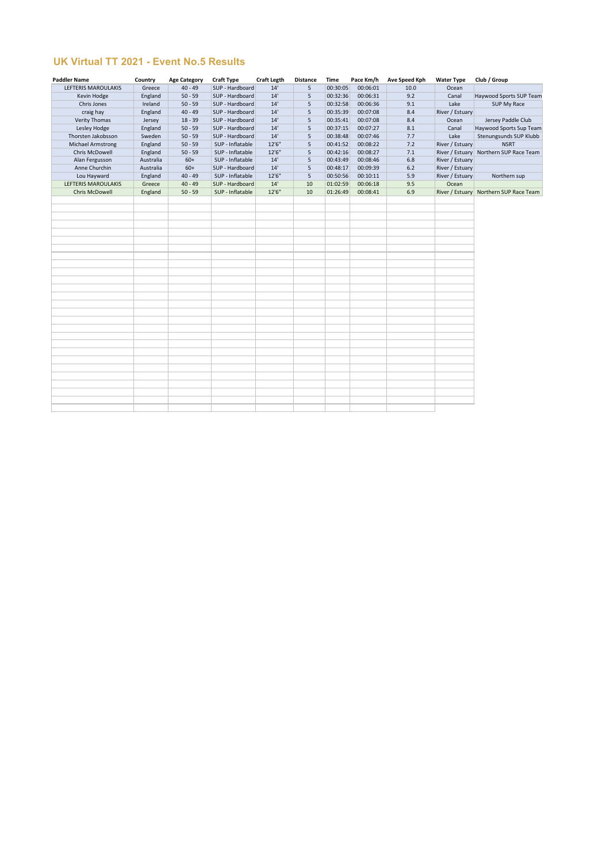## **UK Virtual TT 2021 - Event No.5 Results**

| <b>Paddler Name</b>      | Country   | <b>Age Category</b> | <b>Craft Type</b> | <b>Craft Legth</b> | <b>Distance</b> | <b>Time</b> | Pace Km/h | <b>Ave Speed Kph</b> | <b>Water Type</b> | Club / Group                             |
|--------------------------|-----------|---------------------|-------------------|--------------------|-----------------|-------------|-----------|----------------------|-------------------|------------------------------------------|
| LEFTERIS MAROULAKIS      | Greece    | $40 - 49$           | SUP - Hardboard   | 14'                | 5               | 00:30:05    | 00:06:01  | 10.0                 | Ocean             |                                          |
| Kevin Hodge              | England   | $50 - 59$           | SUP - Hardboard   | 14'                | 5               | 00:32:36    | 00:06:31  | 9.2                  | Canal             | Haywood Sports SUP Team                  |
| Chris Jones              | Ireland   | $50 - 59$           | SUP - Hardboard   | 14'                | 5               | 00:32:58    | 00:06:36  | 9.1                  | Lake              | SUP My Race                              |
| craig hay                | England   | $40 - 49$           | SUP - Hardboard   | 14'                | 5               | 00:35:39    | 00:07:08  | 8.4                  | River / Estuary   |                                          |
| <b>Verity Thomas</b>     | Jersey    | $18 - 39$           | SUP - Hardboard   | 14'                | 5               | 00:35:41    | 00:07:08  | 8.4                  | Ocean             | Jersey Paddle Club                       |
| Lesley Hodge             | England   | $50 - 59$           | SUP - Hardboard   | 14'                | 5               | 00:37:15    | 00:07:27  | 8.1                  | Canal             | Haywood Sports Sup Team                  |
| Thorsten Jakobsson       | Sweden    | $50 - 59$           | SUP - Hardboard   | 14'                | 5               | 00:38:48    | 00:07:46  | 7.7                  | Lake              | Stenungsunds SUP Klubb                   |
| <b>Michael Armstrong</b> | England   | $50 - 59$           | SUP - Inflatable  | 12'6"              | 5               | 00:41:52    | 00:08:22  | 7.2                  | River / Estuary   | <b>NSRT</b>                              |
| Chris McDowell           | England   | $50 - 59$           | SUP - Inflatable  | 12'6"              | 5               | 00:42:16    | 00:08:27  | 7.1                  |                   | River / Estuary   Northern SUP Race Team |
| Alan Fergusson           | Australia | $60+$               | SUP - Inflatable  | 14'                | 5               | 00:43:49    | 00:08:46  | 6.8                  | River / Estuary   |                                          |
| Anne Churchin            | Australia | $60+$               | SUP - Hardboard   | 14'                | 5               | 00:48:17    | 00:09:39  | 6.2                  | River / Estuary   |                                          |
| Lou Hayward              | England   | $40 - 49$           | SUP - Inflatable  | 12'6"              | 5               | 00:50:56    | 00:10:11  | 5.9                  | River / Estuary   | Northern sup                             |
| LEFTERIS MAROULAKIS      | Greece    | $40 - 49$           | SUP - Hardboard   | 14'                | 10              | 01:02:59    | 00:06:18  | 9.5                  | Ocean             |                                          |
| <b>Chris McDowell</b>    | England   | $50 - 59$           | SUP - Inflatable  | 12'6"              | 10              | 01:26:49    | 00:08:41  | 6.9                  |                   | River / Estuary   Northern SUP Race Team |
|                          |           |                     |                   |                    |                 |             |           |                      |                   |                                          |
|                          |           |                     |                   |                    |                 |             |           |                      |                   |                                          |
|                          |           |                     |                   |                    |                 |             |           |                      |                   |                                          |
|                          |           |                     |                   |                    |                 |             |           |                      |                   |                                          |
|                          |           |                     |                   |                    |                 |             |           |                      |                   |                                          |
|                          |           |                     |                   |                    |                 |             |           |                      |                   |                                          |
|                          |           |                     |                   |                    |                 |             |           |                      |                   |                                          |
|                          |           |                     |                   |                    |                 |             |           |                      |                   |                                          |
|                          |           |                     |                   |                    |                 |             |           |                      |                   |                                          |
|                          |           |                     |                   |                    |                 |             |           |                      |                   |                                          |